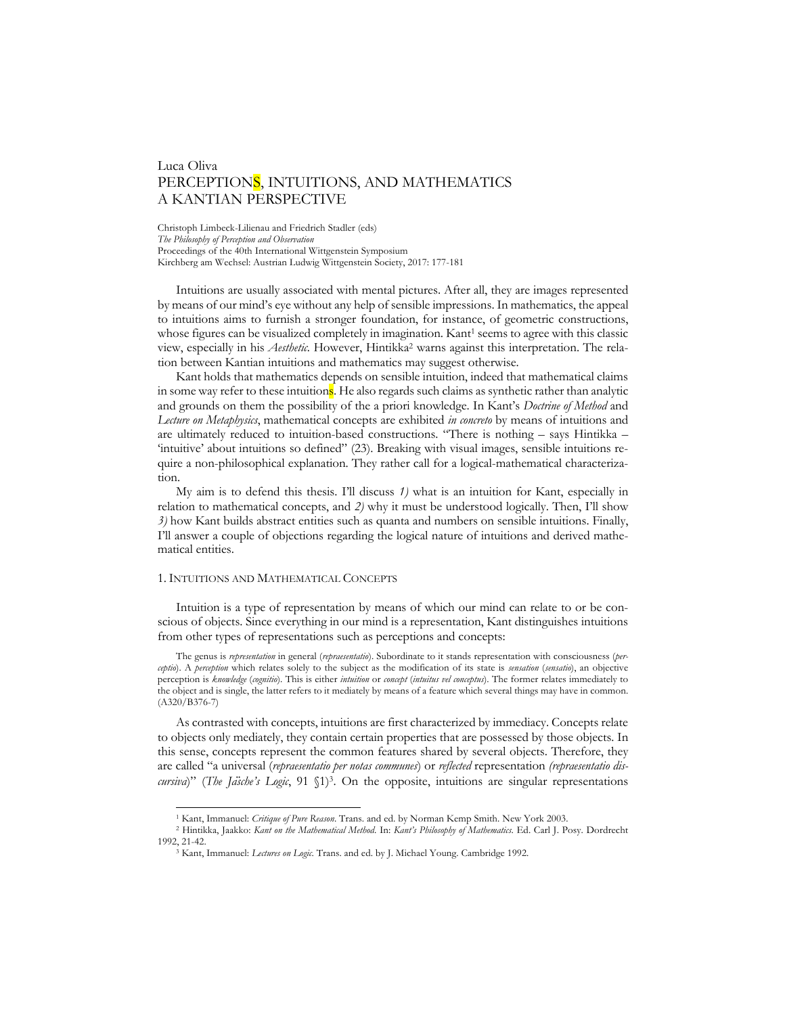# Luca Oliva PERCEPTIONS, INTUITIONS, AND MATHEMATICS A KANTIAN PERSPECTIVE

Christoph Limbeck-Lilienau and Friedrich Stadler (eds) *The Philosophy of Perception and Observation* Proceedings of the 40th International Wittgenstein Symposium Kirchberg am Wechsel: Austrian Ludwig Wittgenstein Society, 2017: 177-181

Intuitions are usually associated with mental pictures. After all, they are images represented by means of our mind's eye without any help of sensible impressions. In mathematics, the appeal to intuitions aims to furnish a stronger foundation, for instance, of geometric constructions, whose figures can be visualized completely in imagination. Kant<sup>1</sup> seems to agree with this classic view, especially in his *Aesthetic.* However, Hintikka2 warns against this interpretation. The relation between Kantian intuitions and mathematics may suggest otherwise.

Kant holds that mathematics depends on sensible intuition, indeed that mathematical claims in some way refer to these intuitions. He also regards such claims as synthetic rather than analytic and grounds on them the possibility of the a priori knowledge. In Kant's *Doctrine of Method* and *Lecture on Metaphysics*, mathematical concepts are exhibited *in concreto* by means of intuitions and are ultimately reduced to intuition-based constructions. "There is nothing – says Hintikka – 'intuitive' about intuitions so defined" (23). Breaking with visual images, sensible intuitions require a non-philosophical explanation. They rather call for a logical-mathematical characterization.

My aim is to defend this thesis. I'll discuss *1)* what is an intuition for Kant, especially in relation to mathematical concepts, and *2)* why it must be understood logically. Then, I'll show *3)* how Kant builds abstract entities such as quanta and numbers on sensible intuitions. Finally, I'll answer a couple of objections regarding the logical nature of intuitions and derived mathematical entities.

## 1. INTUITIONS AND MATHEMATICAL CONCEPTS

Intuition is a type of representation by means of which our mind can relate to or be conscious of objects. Since everything in our mind is a representation, Kant distinguishes intuitions from other types of representations such as perceptions and concepts:

The genus is *representation* in general (*repraesentatio*). Subordinate to it stands representation with consciousness (*perceptio*). A *perception* which relates solely to the subject as the modification of its state is *sensation* (*sensatio*), an objective perception is *knowledge* (*cognitio*). This is either *intuition* or *concept* (*intuitus vel conceptus*). The former relates immediately to the object and is single, the latter refers to it mediately by means of a feature which several things may have in common. (A320/B376-7)

As contrasted with concepts, intuitions are first characterized by immediacy. Concepts relate to objects only mediately, they contain certain properties that are possessed by those objects. In this sense, concepts represent the common features shared by several objects. Therefore, they are called "a universal (*repraesentatio per notas communes*) or *reflected* representation *(repraesentatio discursiva*)" (*The Jäsche's Logic*, 91 §1)3. On the opposite, intuitions are singular representations

<sup>1</sup> Kant, Immanuel: *Critique of Pure Reason*. Trans. and ed. by Norman Kemp Smith. New York 2003.

<sup>2</sup> Hintikka, Jaakko: *Kant on the Mathematical Method*. In: *Kant's Philosophy of Mathematics*. Ed. Carl J. Posy. Dordrecht 1992, 21-42.

<sup>3</sup> Kant, Immanuel: *Lectures on Logic*. Trans. and ed. by J. Michael Young. Cambridge 1992.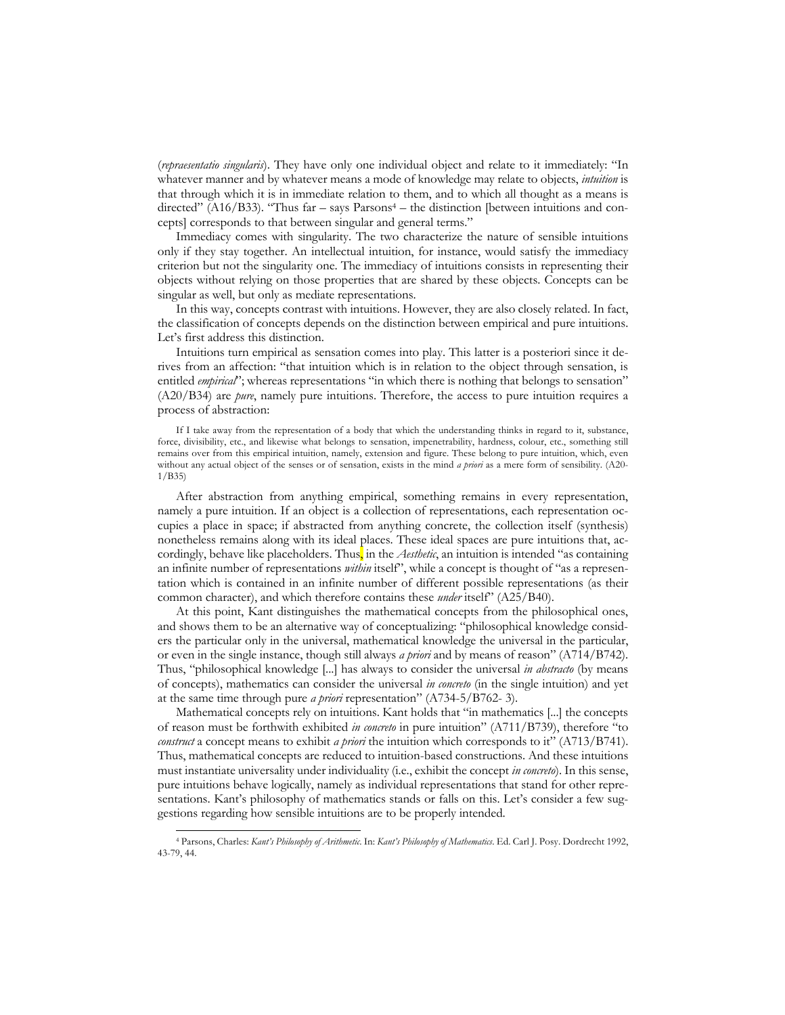(*repraesentatio singularis*). They have only one individual object and relate to it immediately: "In whatever manner and by whatever means a mode of knowledge may relate to objects, *intuition* is that through which it is in immediate relation to them, and to which all thought as a means is directed" (A16/B33). "Thus far – says Parsons<sup>4</sup> – the distinction [between intuitions and concepts] corresponds to that between singular and general terms."

Immediacy comes with singularity. The two characterize the nature of sensible intuitions only if they stay together. An intellectual intuition, for instance, would satisfy the immediacy criterion but not the singularity one. The immediacy of intuitions consists in representing their objects without relying on those properties that are shared by these objects. Concepts can be singular as well, but only as mediate representations.

In this way, concepts contrast with intuitions. However, they are also closely related. In fact, the classification of concepts depends on the distinction between empirical and pure intuitions. Let's first address this distinction.

Intuitions turn empirical as sensation comes into play. This latter is a posteriori since it derives from an affection: "that intuition which is in relation to the object through sensation, is entitled *empirical*"; whereas representations "in which there is nothing that belongs to sensation" (A20/B34) are *pure*, namely pure intuitions. Therefore, the access to pure intuition requires a process of abstraction:

If I take away from the representation of a body that which the understanding thinks in regard to it, substance, force, divisibility, etc., and likewise what belongs to sensation, impenetrability, hardness, colour, etc., something still remains over from this empirical intuition, namely, extension and figure. These belong to pure intuition, which, even without any actual object of the senses or of sensation, exists in the mind *a priori* as a mere form of sensibility. (A20- 1/B35)

After abstraction from anything empirical, something remains in every representation, namely a pure intuition. If an object is a collection of representations, each representation occupies a place in space; if abstracted from anything concrete, the collection itself (synthesis) nonetheless remains along with its ideal places. These ideal spaces are pure intuitions that, accordingly, behave like placeholders. Thus, in the *Aesthetic*, an intuition is intended "as containing an infinite number of representations *within* itself", while a concept is thought of "as a representation which is contained in an infinite number of different possible representations (as their common character), and which therefore contains these *under* itself" (A25/B40).

At this point, Kant distinguishes the mathematical concepts from the philosophical ones, and shows them to be an alternative way of conceptualizing: "philosophical knowledge considers the particular only in the universal, mathematical knowledge the universal in the particular, or even in the single instance, though still always *a priori* and by means of reason" (A714/B742). Thus, "philosophical knowledge [...] has always to consider the universal *in abstracto* (by means of concepts), mathematics can consider the universal *in concreto* (in the single intuition) and yet at the same time through pure *a priori* representation" (A734-5/B762- 3).

Mathematical concepts rely on intuitions. Kant holds that "in mathematics [...] the concepts of reason must be forthwith exhibited *in concreto* in pure intuition" (A711/B739), therefore "to *construct* a concept means to exhibit *a priori* the intuition which corresponds to it" (A713/B741). Thus, mathematical concepts are reduced to intuition-based constructions. And these intuitions must instantiate universality under individuality (i.e., exhibit the concept *in concreto*). In this sense, pure intuitions behave logically, namely as individual representations that stand for other representations. Kant's philosophy of mathematics stands or falls on this. Let's consider a few suggestions regarding how sensible intuitions are to be properly intended.

<sup>4</sup> Parsons, Charles: *Kant's Philosophy of Arithmetic*. In: *Kant's Philosophy of Mathematics*. Ed. Carl J. Posy. Dordrecht 1992, 43-79, 44.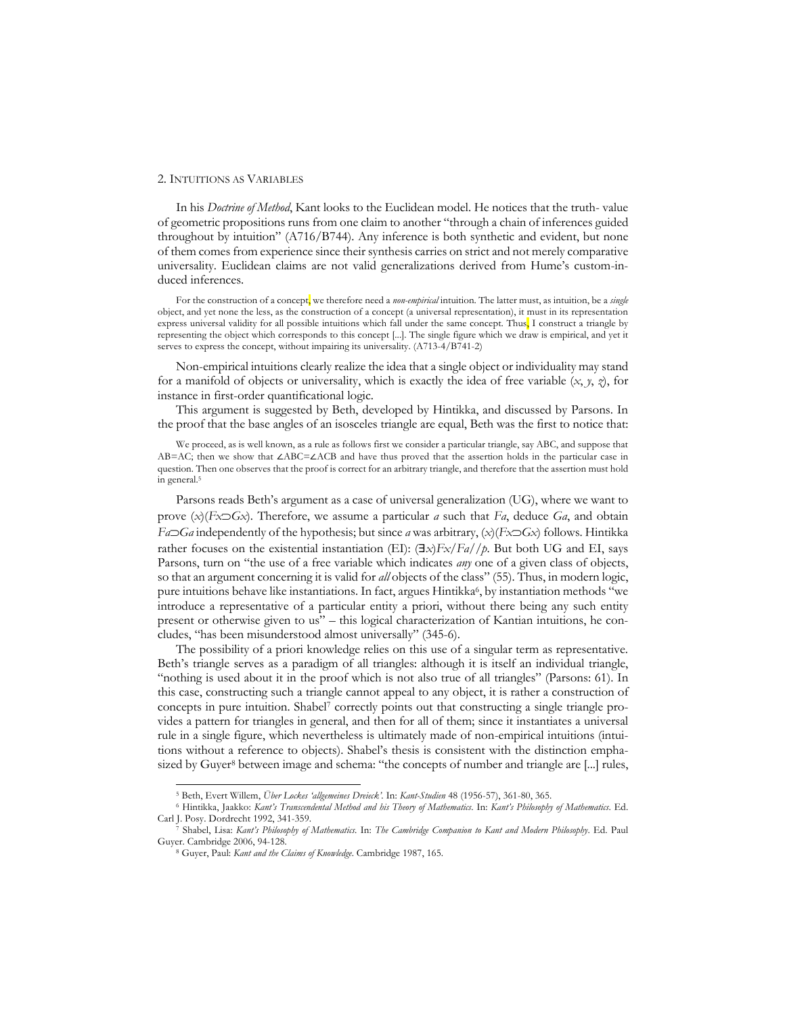#### 2. INTUITIONS AS VARIABLES

In his *Doctrine of Method*, Kant looks to the Euclidean model. He notices that the truth- value of geometric propositions runs from one claim to another "through a chain of inferences guided throughout by intuition" (A716/B744). Any inference is both synthetic and evident, but none of them comes from experience since their synthesis carries on strict and not merely comparative universality. Euclidean claims are not valid generalizations derived from Hume's custom-induced inferences.

For the construction of a concept, we therefore need a *non-empirical* intuition. The latter must, as intuition, be a *single*  object, and yet none the less, as the construction of a concept (a universal representation), it must in its representation express universal validity for all possible intuitions which fall under the same concept. Thus, I construct a triangle by representing the object which corresponds to this concept [...]. The single figure which we draw is empirical, and yet it serves to express the concept, without impairing its universality. (A713-4/B741-2)

Non-empirical intuitions clearly realize the idea that a single object or individuality may stand for a manifold of objects or universality, which is exactly the idea of free variable  $(x, y, z)$ , for instance in first-order quantificational logic.

This argument is suggested by Beth, developed by Hintikka, and discussed by Parsons. In the proof that the base angles of an isosceles triangle are equal, Beth was the first to notice that:

We proceed, as is well known, as a rule as follows first we consider a particular triangle, say ABC, and suppose that AB=AC; then we show that ∠ABC=∠ACB and have thus proved that the assertion holds in the particular case in question. Then one observes that the proof is correct for an arbitrary triangle, and therefore that the assertion must hold in general.5

Parsons reads Beth's argument as a case of universal generalization (UG), where we want to prove  $(x)(F \times S)$ . Therefore, we assume a particular *a* such that *Fa*, deduce *Ga*, and obtain *Fa* $\Box$ *Ga* independently of the hypothesis; but since *a* was arbitrary, (*x*)(*Fx* $\Box$ *Gx*) follows. Hintikka rather focuses on the existential instantiation (EI): (∃*x*)*Fx*/*Fa*//*p*. But both UG and EI, says Parsons, turn on "the use of a free variable which indicates *any* one of a given class of objects, so that an argument concerning it is valid for *all* objects of the class" (55). Thus, in modern logic, pure intuitions behave like instantiations. In fact, argues Hintikka<sup>6</sup>, by instantiation methods "we introduce a representative of a particular entity a priori, without there being any such entity present or otherwise given to us" – this logical characterization of Kantian intuitions, he concludes, "has been misunderstood almost universally" (345-6).

The possibility of a priori knowledge relies on this use of a singular term as representative. Beth's triangle serves as a paradigm of all triangles: although it is itself an individual triangle, "nothing is used about it in the proof which is not also true of all triangles" (Parsons: 61). In this case, constructing such a triangle cannot appeal to any object, it is rather a construction of concepts in pure intuition. Shabel<sup>7</sup> correctly points out that constructing a single triangle provides a pattern for triangles in general, and then for all of them; since it instantiates a universal rule in a single figure, which nevertheless is ultimately made of non-empirical intuitions (intuitions without a reference to objects). Shabel's thesis is consistent with the distinction emphasized by Guyer<sup>8</sup> between image and schema: "the concepts of number and triangle are [...] rules,

<sup>5</sup> Beth, Evert Willem, *Über Lockes 'allgemeines Dreieck'*. In: *Kant-Studien* 48 (1956-57), 361-80, 365.

<sup>6</sup> Hintikka, Jaakko: *Kant's Transcendental Method and his Theory of Mathematics*. In: *Kant's Philosophy of Mathematics*. Ed. Carl J. Posy. Dordrecht 1992, 341-359.

<sup>7</sup> Shabel, Lisa: *Kant's Philosophy of Mathematics*. In: *The Cambridge Companion to Kant and Modern Philosophy*. Ed. Paul Guyer. Cambridge 2006, 94-128.

<sup>8</sup> Guyer, Paul: *Kant and the Claims of Knowledge*. Cambridge 1987, 165.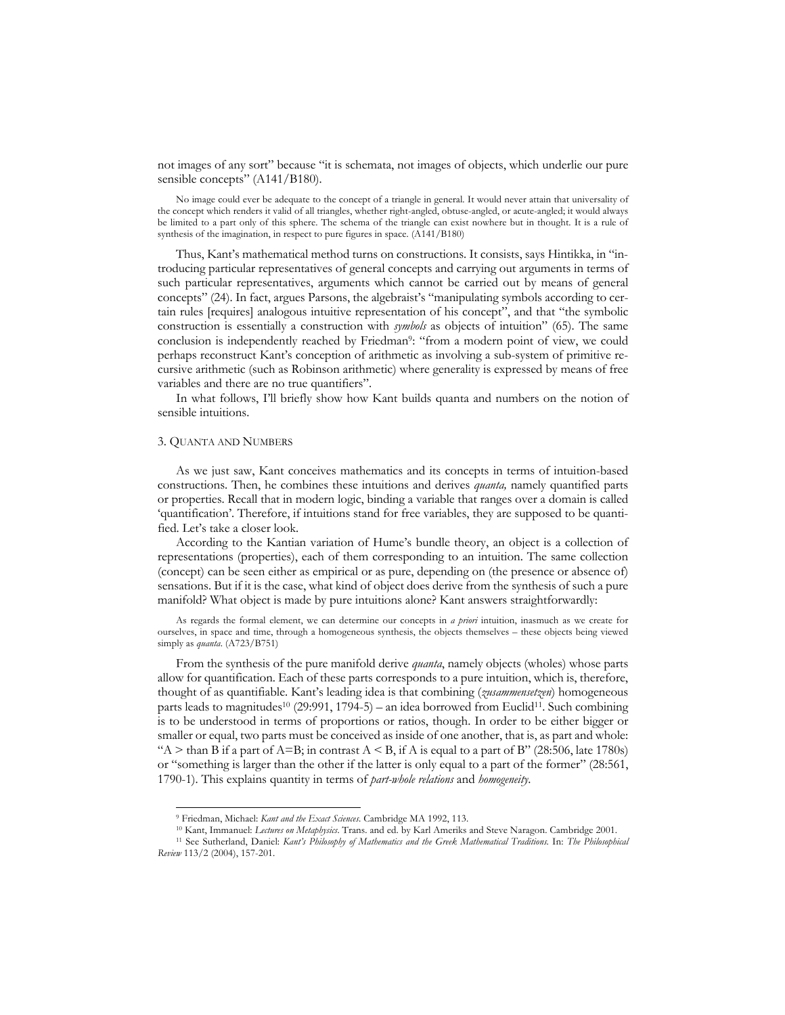not images of any sort" because "it is schemata, not images of objects, which underlie our pure sensible concepts" (A141/B180).

No image could ever be adequate to the concept of a triangle in general. It would never attain that universality of the concept which renders it valid of all triangles, whether right-angled, obtuse-angled, or acute-angled; it would always be limited to a part only of this sphere. The schema of the triangle can exist nowhere but in thought. It is a rule of synthesis of the imagination, in respect to pure figures in space. (A141/B180)

Thus, Kant's mathematical method turns on constructions. It consists, says Hintikka, in "introducing particular representatives of general concepts and carrying out arguments in terms of such particular representatives, arguments which cannot be carried out by means of general concepts" (24). In fact, argues Parsons, the algebraist's "manipulating symbols according to certain rules [requires] analogous intuitive representation of his concept", and that "the symbolic construction is essentially a construction with *symbols* as objects of intuition" (65). The same conclusion is independently reached by Friedman9: "from a modern point of view, we could perhaps reconstruct Kant's conception of arithmetic as involving a sub-system of primitive recursive arithmetic (such as Robinson arithmetic) where generality is expressed by means of free variables and there are no true quantifiers".

In what follows, I'll briefly show how Kant builds quanta and numbers on the notion of sensible intuitions.

#### 3. QUANTA AND NUMBERS

As we just saw, Kant conceives mathematics and its concepts in terms of intuition-based constructions. Then, he combines these intuitions and derives *quanta,* namely quantified parts or properties. Recall that in modern logic, binding a variable that ranges over a domain is called 'quantification'. Therefore, if intuitions stand for free variables, they are supposed to be quantified. Let's take a closer look.

According to the Kantian variation of Hume's bundle theory, an object is a collection of representations (properties), each of them corresponding to an intuition. The same collection (concept) can be seen either as empirical or as pure, depending on (the presence or absence of) sensations. But if it is the case, what kind of object does derive from the synthesis of such a pure manifold? What object is made by pure intuitions alone? Kant answers straightforwardly:

As regards the formal element, we can determine our concepts in *a priori* intuition, inasmuch as we create for ourselves, in space and time, through a homogeneous synthesis, the objects themselves – these objects being viewed simply as *quanta*. (A723/B751)

From the synthesis of the pure manifold derive *quanta*, namely objects (wholes) whose parts allow for quantification. Each of these parts corresponds to a pure intuition, which is, therefore, thought of as quantifiable. Kant's leading idea is that combining (*zusammensetzen*) homogeneous parts leads to magnitudes<sup>10</sup> (29:991, 1794-5) – an idea borrowed from Euclid<sup>11</sup>. Such combining is to be understood in terms of proportions or ratios, though. In order to be either bigger or smaller or equal, two parts must be conceived as inside of one another, that is, as part and whole: "A > than B if a part of A=B; in contrast  $A < B$ , if A is equal to a part of B" (28:506, late 1780s) or "something is larger than the other if the latter is only equal to a part of the former" (28:561, 1790-1). This explains quantity in terms of *part-whole relations* and *homogeneity*.

<sup>9</sup> Friedman, Michael: *Kant and the Exact Sciences*. Cambridge MA 1992, 113.

<sup>10</sup> Kant, Immanuel: *Lectures on Metaphysics*. Trans. and ed. by Karl Ameriks and Steve Naragon. Cambridge 2001.

<sup>11</sup> See Sutherland, Daniel: *Kant's Philosophy of Mathematics and the Greek Mathematical Traditions*. In: *The Philosophical Review* 113/2 (2004), 157-201.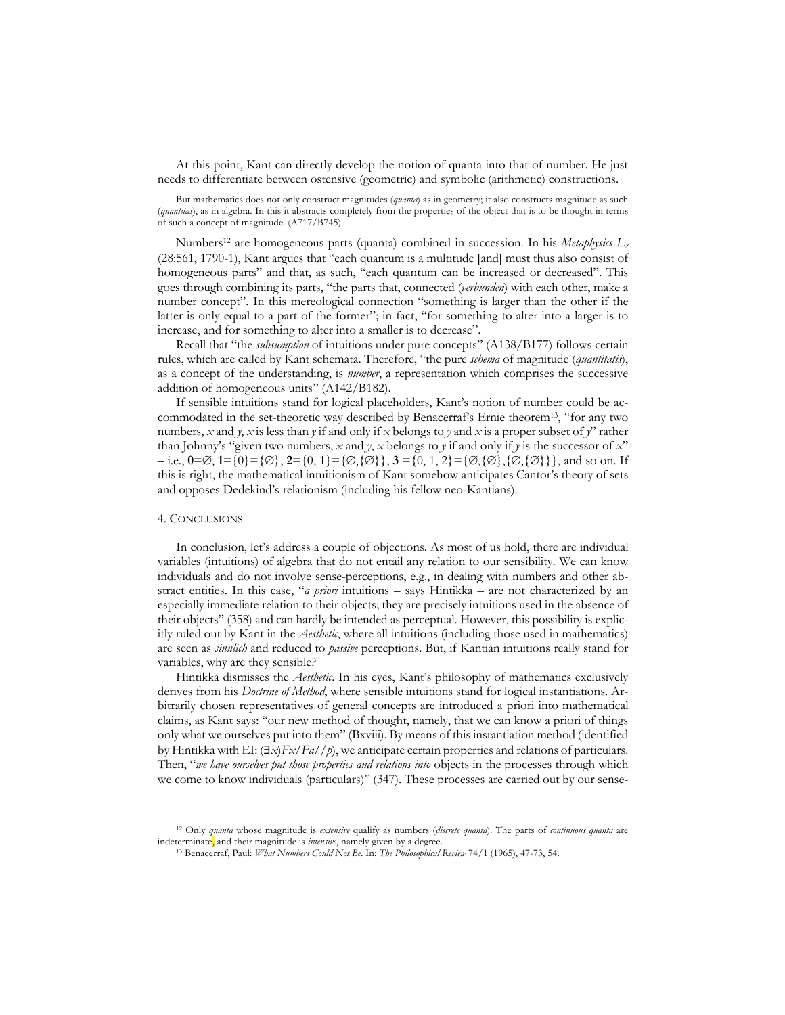At this point, Kant can directly develop the notion of quanta into that of number. He just needs to differentiate between ostensive (geometric) and symbolic (arithmetic) constructions.

But mathematics does not only construct magnitudes (*quanta*) as in geometry; it also constructs magnitude as such (*quantitas*), as in algebra. In this it abstracts completely from the properties of the object that is to be thought in terms of such a concept of magnitude. (A717/B745)

Numbers<sup>12</sup> are homogeneous parts (quanta) combined in succession. In his *Metaphysics* L<sub>2</sub> (28:561, 1790-1), Kant argues that "each quantum is a multitude [and] must thus also consist of homogeneous parts" and that, as such, "each quantum can be increased or decreased". This goes through combining its parts, "the parts that, connected (*verbunden*) with each other, make a number concept". In this mereological connection "something is larger than the other if the latter is only equal to a part of the former"; in fact, "for something to alter into a larger is to increase, and for something to alter into a smaller is to decrease".

Recall that "the *subsumption* of intuitions under pure concepts" (A138/B177) follows certain rules, which are called by Kant schemata. Therefore, "the pure *schema* of magnitude (*quantitatis*), as a concept of the understanding, is *number*, a representation which comprises the successive addition of homogeneous units" (A142/B182).

If sensible intuitions stand for logical placeholders, Kant's notion of number could be accommodated in the set-theoretic way described by Benacerraf's Ernie theorem13, "for any two numbers, *x* and *y*, *x* is less than *y* if and only if *x* belongs to *y* and *x* is a proper subset of *y*" rather than Johnny's "given two numbers, *x* and *y*, *x* belongs to *y* if and only if *y* is the successor of *x*" – i.e.,  $0 = \emptyset$ ,  $1 = \{0\} = \{\emptyset\}$ ,  $2 = \{0, 1\} = \{\emptyset, \{\emptyset\}\}, 3 = \{0, 1, 2\} = \{\emptyset, \{\emptyset\}, \{\emptyset, \{\emptyset\}\}\},$  and so on. If this is right, the mathematical intuitionism of Kant somehow anticipates Cantor's theory of sets and opposes Dedekind's relationism (including his fellow neo-Kantians).

### 4. CONCLUSIONS

In conclusion, let's address a couple of objections. As most of us hold, there are individual variables (intuitions) of algebra that do not entail any relation to our sensibility. We can know individuals and do not involve sense-perceptions, e.g., in dealing with numbers and other abstract entities. In this case, "*a priori* intuitions – says Hintikka – are not characterized by an especially immediate relation to their objects; they are precisely intuitions used in the absence of their objects" (358) and can hardly be intended as perceptual. However, this possibility is explicitly ruled out by Kant in the *Aesthetic*, where all intuitions (including those used in mathematics) are seen as *sinnlich* and reduced to *passive* perceptions. But, if Kantian intuitions really stand for variables, why are they sensible?

Hintikka dismisses the *Aesthetic*. In his eyes, Kant's philosophy of mathematics exclusively derives from his *Doctrine of Method*, where sensible intuitions stand for logical instantiations. Arbitrarily chosen representatives of general concepts are introduced a priori into mathematical claims, as Kant says: "our new method of thought, namely, that we can know a priori of things only what we ourselves put into them" (Bxviii). By means of this instantiation method (identified by Hintikka with EI: (∃*x*)*Fx*/*Fa*//*p*), we anticipate certain properties and relations of particulars. Then, "*we have ourselves put those properties and relations into* objects in the processes through which we come to know individuals (particulars)" (347). These processes are carried out by our sense-

<sup>12</sup> Only *quanta* whose magnitude is *extensive* qualify as numbers (*discrete quanta*). The parts of *continuous quanta* are indeterminate, and their magnitude is *intensive*, namely given by a degree.

<sup>13</sup> Benacerraf, Paul: *What Numbers Could Not Be*. In: *The Philosophical Review* 74/1 (1965), 47-73, 54.